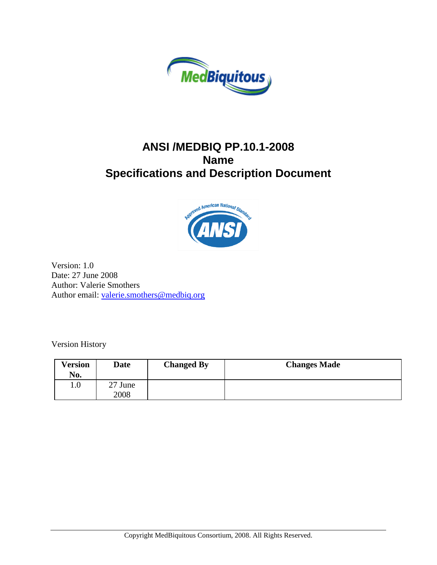

### **ANSI /MEDBIQ PP.10.1-2008 Name Specifications and Description Document**



Version: 1.0 Date: 27 June 2008 Author: Valerie Smothers Author email: [valerie.smothers@medbiq.org](mailto:valerie.smothers@medbiq.org)

Version History

| Version<br>No. | Date            | <b>Changed By</b> | <b>Changes Made</b> |
|----------------|-----------------|-------------------|---------------------|
| $1.0\,$        | 27 June<br>2008 |                   |                     |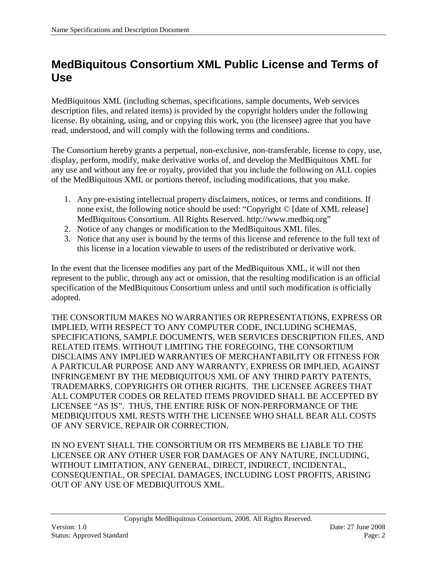## <span id="page-1-0"></span>**MedBiquitous Consortium XML Public License and Terms of Use**

MedBiquitous XML (including schemas, specifications, sample documents, Web services description files, and related items) is provided by the copyright holders under the following license. By obtaining, using, and or copying this work, you (the licensee) agree that you have read, understood, and will comply with the following terms and conditions.

The Consortium hereby grants a perpetual, non-exclusive, non-transferable, license to copy, use, display, perform, modify, make derivative works of, and develop the MedBiquitous XML for any use and without any fee or royalty, provided that you include the following on ALL copies of the MedBiquitous XML or portions thereof, including modifications, that you make.

- 1. Any pre-existing intellectual property disclaimers, notices, or terms and conditions. If none exist, the following notice should be used: "Copyright © [date of XML release] MedBiquitous Consortium. All Rights Reserved. http://www.medbiq.org"
- 2. Notice of any changes or modification to the MedBiquitous XML files.
- 3. Notice that any user is bound by the terms of this license and reference to the full text of this license in a location viewable to users of the redistributed or derivative work.

In the event that the licensee modifies any part of the MedBiquitous XML, it will not then represent to the public, through any act or omission, that the resulting modification is an official specification of the MedBiquitous Consortium unless and until such modification is officially adopted.

THE CONSORTIUM MAKES NO WARRANTIES OR REPRESENTATIONS, EXPRESS OR IMPLIED, WITH RESPECT TO ANY COMPUTER CODE, INCLUDING SCHEMAS, SPECIFICATIONS, SAMPLE DOCUMENTS, WEB SERVICES DESCRIPTION FILES, AND RELATED ITEMS. WITHOUT LIMITING THE FOREGOING, THE CONSORTIUM DISCLAIMS ANY IMPLIED WARRANTIES OF MERCHANTABILITY OR FITNESS FOR A PARTICULAR PURPOSE AND ANY WARRANTY, EXPRESS OR IMPLIED, AGAINST INFRINGEMENT BY THE MEDBIQUITOUS XML OF ANY THIRD PARTY PATENTS, TRADEMARKS, COPYRIGHTS OR OTHER RIGHTS. THE LICENSEE AGREES THAT ALL COMPUTER CODES OR RELATED ITEMS PROVIDED SHALL BE ACCEPTED BY LICENSEE "AS IS". THUS, THE ENTIRE RISK OF NON-PERFORMANCE OF THE MEDBIQUITOUS XML RESTS WITH THE LICENSEE WHO SHALL BEAR ALL COSTS OF ANY SERVICE, REPAIR OR CORRECTION.

IN NO EVENT SHALL THE CONSORTIUM OR ITS MEMBERS BE LIABLE TO THE LICENSEE OR ANY OTHER USER FOR DAMAGES OF ANY NATURE, INCLUDING, WITHOUT LIMITATION, ANY GENERAL, DIRECT, INDIRECT, INCIDENTAL, CONSEQUENTIAL, OR SPECIAL DAMAGES, INCLUDING LOST PROFITS, ARISING OUT OF ANY USE OF MEDBIQUITOUS XML.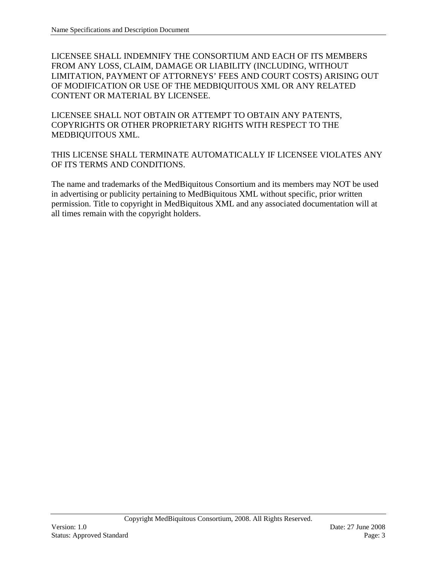LICENSEE SHALL INDEMNIFY THE CONSORTIUM AND EACH OF ITS MEMBERS FROM ANY LOSS, CLAIM, DAMAGE OR LIABILITY (INCLUDING, WITHOUT LIMITATION, PAYMENT OF ATTORNEYS' FEES AND COURT COSTS) ARISING OUT OF MODIFICATION OR USE OF THE MEDBIQUITOUS XML OR ANY RELATED CONTENT OR MATERIAL BY LICENSEE.

LICENSEE SHALL NOT OBTAIN OR ATTEMPT TO OBTAIN ANY PATENTS, COPYRIGHTS OR OTHER PROPRIETARY RIGHTS WITH RESPECT TO THE MEDBIQUITOUS XML.

THIS LICENSE SHALL TERMINATE AUTOMATICALLY IF LICENSEE VIOLATES ANY OF ITS TERMS AND CONDITIONS.

The name and trademarks of the MedBiquitous Consortium and its members may NOT be used in advertising or publicity pertaining to MedBiquitous XML without specific, prior written permission. Title to copyright in MedBiquitous XML and any associated documentation will at all times remain with the copyright holders.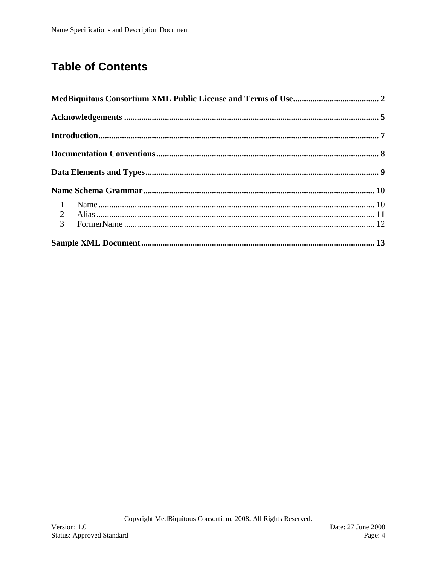# **Table of Contents**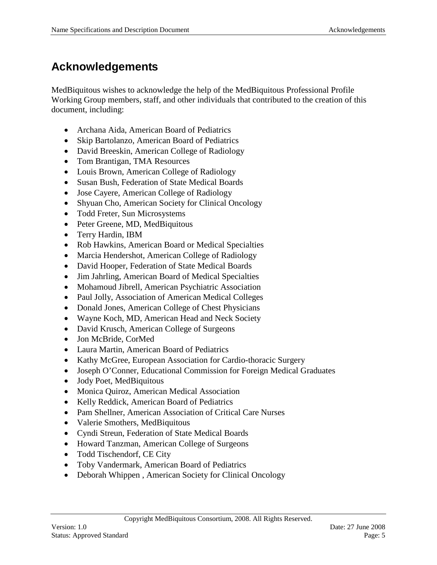## <span id="page-4-0"></span>**Acknowledgements**

MedBiquitous wishes to acknowledge the help of the MedBiquitous Professional Profile Working Group members, staff, and other individuals that contributed to the creation of this document, including:

- Archana Aida, American Board of Pediatrics
- Skip Bartolanzo, American Board of Pediatrics
- David Breeskin, American College of Radiology
- Tom Brantigan, TMA Resources
- Louis Brown, American College of Radiology
- Susan Bush, Federation of State Medical Boards
- Jose Cayere, American College of Radiology
- Shyuan Cho, American Society for Clinical Oncology
- Todd Freter, Sun Microsystems
- Peter Greene, MD, MedBiquitous
- Terry Hardin, IBM
- Rob Hawkins, American Board or Medical Specialties
- Marcia Hendershot, American College of Radiology
- David Hooper, Federation of State Medical Boards
- Jim Jahrling, American Board of Medical Specialties
- Mohamoud Jibrell, American Psychiatric Association
- Paul Jolly, Association of American Medical Colleges
- Donald Jones, American College of Chest Physicians
- Wayne Koch, MD, American Head and Neck Society
- David Krusch, American College of Surgeons
- Jon McBride, CorMed
- Laura Martin, American Board of Pediatrics
- Kathy McGree, European Association for Cardio-thoracic Surgery
- Joseph O'Conner, Educational Commission for Foreign Medical Graduates
- Jody Poet, MedBiquitous
- Monica Quiroz, American Medical Association
- Kelly Reddick, American Board of Pediatrics
- Pam Shellner, American Association of Critical Care Nurses
- Valerie Smothers, MedBiquitous
- Cyndi Streun, Federation of State Medical Boards
- Howard Tanzman, American College of Surgeons
- Todd Tischendorf, CE City
- Toby Vandermark, American Board of Pediatrics
- Deborah Whippen, American Society for Clinical Oncology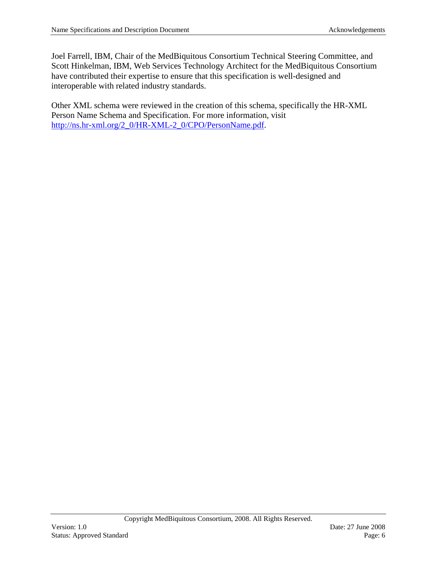Joel Farrell, IBM, Chair of the MedBiquitous Consortium Technical Steering Committee, and Scott Hinkelman, IBM, Web Services Technology Architect for the MedBiquitous Consortium have contributed their expertise to ensure that this specification is well-designed and interoperable with related industry standards.

Other XML schema were reviewed in the creation of this schema, specifically the HR-XML Person Name Schema and Specification. For more information, visit [http://ns.hr-xml.org/2\\_0/HR-XML-2\\_0/CPO/PersonName.pdf.](http://ns.hr-xml.org/2_0/HR-XML-2_0/CPO/PersonName.pdf)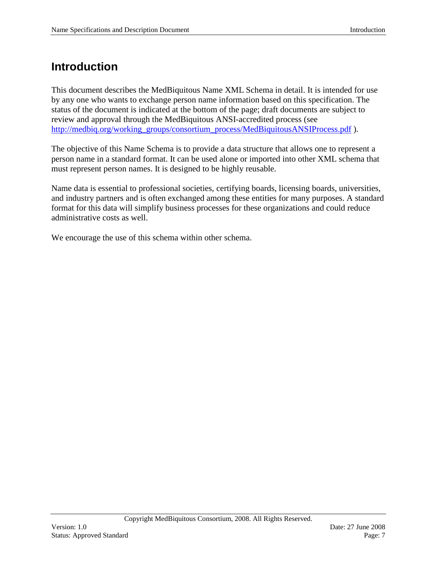### <span id="page-6-0"></span>**Introduction**

This document describes the MedBiquitous Name XML Schema in detail. It is intended for use by any one who wants to exchange person name information based on this specification. The status of the document is indicated at the bottom of the page; draft documents are subject to review and approval through the MedBiquitous ANSI-accredited process (see [http://medbiq.org/working\\_groups/consortium\\_process/MedBiquitousANSIProcess.pdf](http://medbiq.org/working_groups/consortium_process/MedBiquitousANSIProcess.pdf) ).

The objective of this Name Schema is to provide a data structure that allows one to represent a person name in a standard format. It can be used alone or imported into other XML schema that must represent person names. It is designed to be highly reusable.

Name data is essential to professional societies, certifying boards, licensing boards, universities, and industry partners and is often exchanged among these entities for many purposes. A standard format for this data will simplify business processes for these organizations and could reduce administrative costs as well.

We encourage the use of this schema within other schema.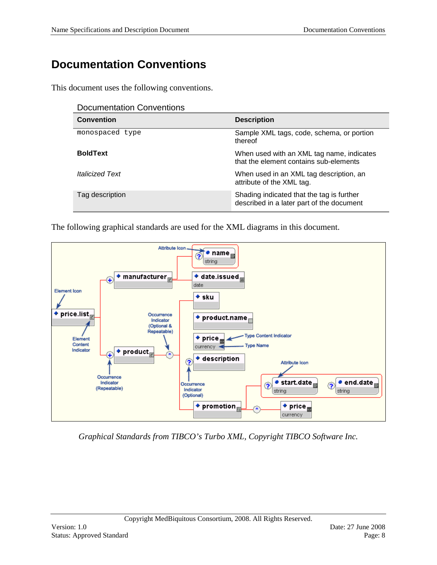## <span id="page-7-0"></span>**Documentation Conventions**

This document uses the following conventions.

| <b>Documentation Conventions</b> |  |
|----------------------------------|--|
|----------------------------------|--|

| <b>Convention</b>             | <b>Description</b>                                                                     |
|-------------------------------|----------------------------------------------------------------------------------------|
| monospaced type               | Sample XML tags, code, schema, or portion<br>thereof                                   |
| <b>BoldText</b>               | When used with an XML tag name, indicates<br>that the element contains sub-elements    |
| <i><b>Italicized Text</b></i> | When used in an XML tag description, an<br>attribute of the XML tag.                   |
| Tag description               | Shading indicated that the tag is further<br>described in a later part of the document |

The following graphical standards are used for the XML diagrams in this document.



*Graphical Standards from TIBCO's Turbo XML, Copyright TIBCO Software Inc.*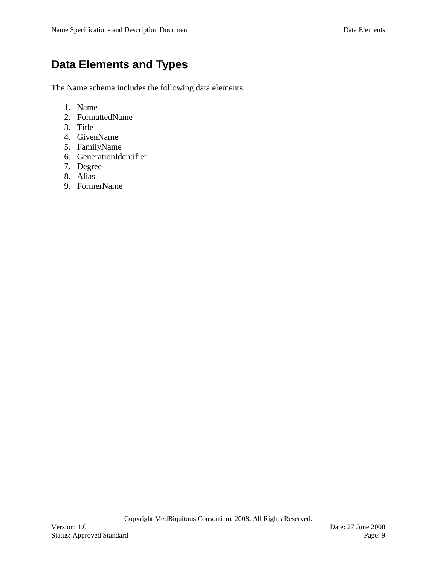## <span id="page-8-0"></span>**Data Elements and Types**

The Name schema includes the following data elements.

- 1. Name
- 2. FormattedName
- 3. Title
- 4. GivenName
- 5. FamilyName
- 6. GenerationIdentifier
- 7. Degree
- 8. Alias
- 9. FormerName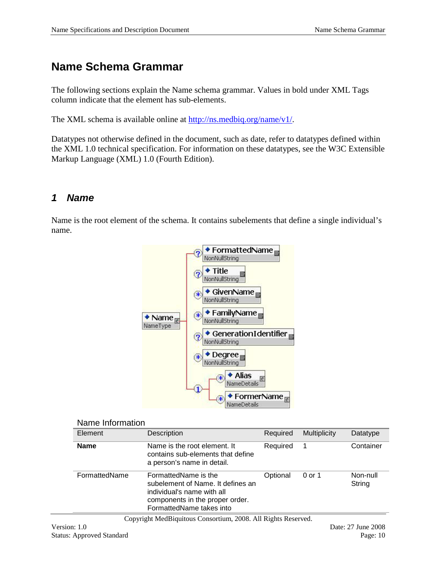### <span id="page-9-0"></span>**Name Schema Grammar**

The following sections explain the Name schema grammar. Values in bold under XML Tags column indicate that the element has sub-elements.

The XML schema is available online at [http://ns.medbiq.org/name/v1/.](http://ns.medbiq.org/name/v1/)

Datatypes not otherwise defined in the document, such as date, refer to datatypes defined within the XML 1.0 technical specification. For information on these datatypes, see the W3C Extensible Markup Language (XML) 1.0 (Fourth Edition).

#### <span id="page-9-1"></span>*1 Name*

Name is the root element of the schema. It contains subelements that define a single individual's name.



#### Name Information

| Element       | Description                                                                                                                                            | Required | <b>Multiplicity</b> | Datatype           |
|---------------|--------------------------------------------------------------------------------------------------------------------------------------------------------|----------|---------------------|--------------------|
| <b>Name</b>   | Name is the root element. It<br>contains sub-elements that define<br>a person's name in detail.                                                        | Required |                     | Container          |
| FormattedName | FormattedName is the<br>subelement of Name. It defines an<br>individual's name with all<br>components in the proper order.<br>FormattedName takes into | Optional | 0 or 1              | Non-null<br>String |

Copyright MedBiquitous Consortium, 2008. All Rights Reserved.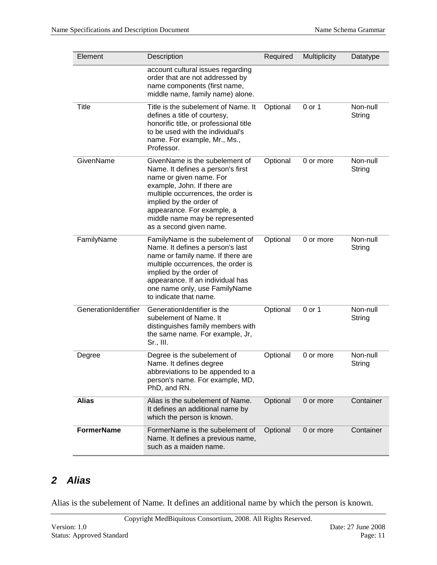| Element              | Description                                                                                                                                                                                                                                                                               | Required | <b>Multiplicity</b> | Datatype           |
|----------------------|-------------------------------------------------------------------------------------------------------------------------------------------------------------------------------------------------------------------------------------------------------------------------------------------|----------|---------------------|--------------------|
|                      | account cultural issues regarding<br>order that are not addressed by<br>name components (first name,<br>middle name, family name) alone.                                                                                                                                                  |          |                     |                    |
| Title                | Title is the subelement of Name. It<br>defines a title of courtesy,<br>honorific title, or professional title<br>to be used with the individual's<br>name. For example, Mr., Ms.,<br>Professor.                                                                                           | Optional | 0 or 1              | Non-null<br>String |
| GivenName            | GivenName is the subelement of<br>Name. It defines a person's first<br>name or given name. For<br>example, John. If there are<br>multiple occurrences, the order is<br>implied by the order of<br>appearance. For example, a<br>middle name may be represented<br>as a second given name. | Optional | 0 or more           | Non-null<br>String |
| FamilyName           | FamilyName is the subelement of<br>Name. It defines a person's last<br>name or family name. If there are<br>multiple occurrences, the order is<br>implied by the order of<br>appearance. If an individual has<br>one name only, use FamilyName<br>to indicate that name.                  | Optional | 0 or more           | Non-null<br>String |
| GenerationIdentifier | GenerationIdentifier is the<br>subelement of Name. It<br>distinguishes family members with<br>the same name. For example, Jr,<br>Sr., III.                                                                                                                                                | Optional | 0 or 1              | Non-null<br>String |
| Degree               | Degree is the subelement of<br>Name. It defines degree<br>abbreviations to be appended to a<br>person's name. For example, MD,<br>PhD, and RN.                                                                                                                                            | Optional | 0 or more           | Non-null<br>String |
| <b>Alias</b>         | Alias is the subelement of Name.<br>It defines an additional name by<br>which the person is known.                                                                                                                                                                                        | Optional | 0 or more           | Container          |
| <b>FormerName</b>    | FormerName is the subelement of<br>Name. It defines a previous name,<br>such as a maiden name.                                                                                                                                                                                            | Optional | 0 or more           | Container          |

### <span id="page-10-0"></span>*2 Alias*

Alias is the subelement of Name. It defines an additional name by which the person is known.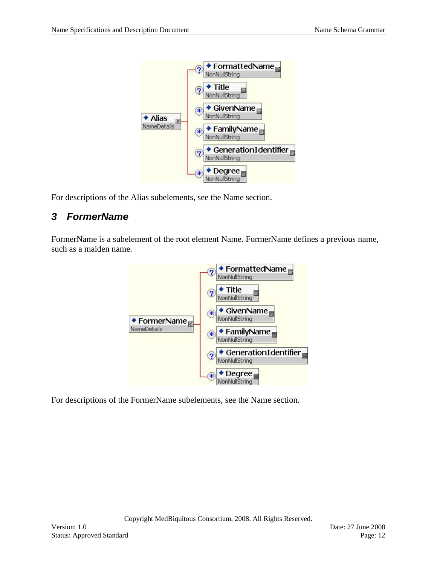

For descriptions of the Alias subelements, see the Name section.

#### <span id="page-11-0"></span>*3 FormerName*

FormerName is a subelement of the root element Name. FormerName defines a previous name, such as a maiden name.



For descriptions of the FormerName subelements, see the Name section.